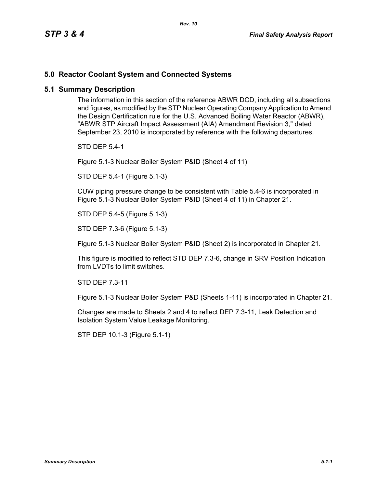## **5.0 Reactor Coolant System and Connected Systems**

## **5.1 Summary Description**

The information in this section of the reference ABWR DCD, including all subsections and figures, as modified by the STP Nuclear Operating Company Application to Amend the Design Certification rule for the U.S. Advanced Boiling Water Reactor (ABWR), "ABWR STP Aircraft Impact Assessment (AIA) Amendment Revision 3," dated September 23, 2010 is incorporated by reference with the following departures.

STD DEP 5.4-1

Figure 5.1-3 Nuclear Boiler System P&ID (Sheet 4 of 11)

STD DEP 5.4-1 (Figure 5.1-3)

CUW piping pressure change to be consistent with Table 5.4-6 is incorporated in Figure 5.1-3 Nuclear Boiler System P&ID (Sheet 4 of 11) in Chapter 21.

STD DEP 5.4-5 (Figure 5.1-3)

STD DEP 7.3-6 (Figure 5.1-3)

Figure 5.1-3 Nuclear Boiler System P&ID (Sheet 2) is incorporated in Chapter 21.

This figure is modified to reflect STD DEP 7.3-6, change in SRV Position Indication from LVDTs to limit switches.

STD DEP 7.3-11

Figure 5.1-3 Nuclear Boiler System P&D (Sheets 1-11) is incorporated in Chapter 21.

Changes are made to Sheets 2 and 4 to reflect DEP 7.3-11, Leak Detection and Isolation System Value Leakage Monitoring.

STP DEP 10.1-3 (Figure 5.1-1)